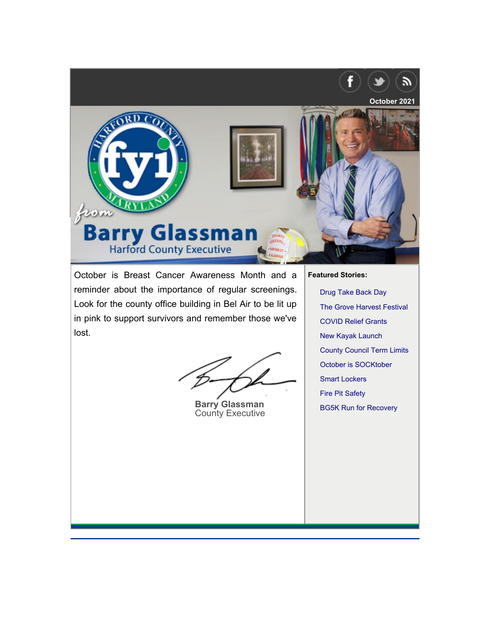

October is Breast Cancer Awareness Month and a reminder about the importance of regular screenings. Look for the county office building in Bel Air to be lit up in pink to support survivors and remember those we've lost.

**Barry Glassman County Executive** 

**Featured Stories:** 

Drug Take Back Day The Grove Harvest Festival **COVID Relief Grants New Kayak Launch County Council Term Limits** October is SOCKtober **Smart Lockers Fire Pit Safety BG5K Run for Recovery**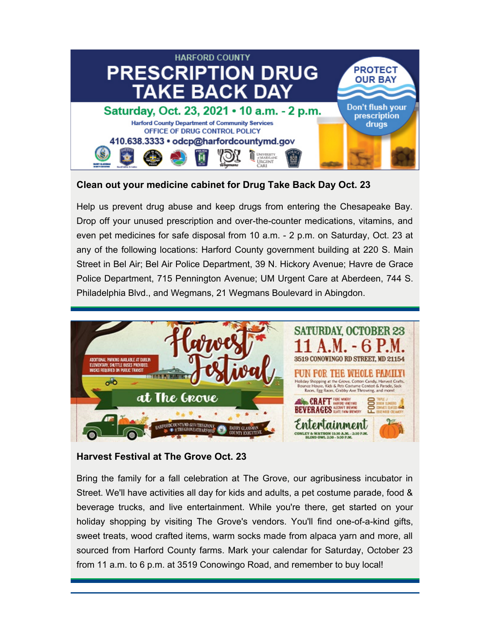

## **Clean out your medicine cabinet for Drug Take Back Day Oct. 23**

Help us prevent drug abuse and keep drugs from entering the Chesapeake Bay. Drop off your unused prescription and over-the-counter medications, vitamins, and even pet medicines for safe disposal from 10 a.m. - 2 p.m. on Saturday, Oct. 23 at any of the following locations: Harford County government building at 220 S. Main Street in Bel Air; Bel Air Police Department, 39 N. Hickory Avenue; Havre de Grace Police Department, 715 Pennington Avenue; UM Urgent Care at Aberdeen, 744 S. [Philadelphia Blvd., and Wegmans, 21 Wegmans Boulevard in Abingdon.](https://www.facebook.com/events/1208251486320063)



# **Harvest Festival at The Grove Oct. 23**

Bring the family for a fall celebration at The Grove, our agribusiness incubator in Street. We'll have activities all day for kids and adults, a pet costume parade, food & beverage trucks, and live entertainment. While you're there, get started on your holiday shopping by visiting The Grove's vendors. You'll find one-of-a-kind gifts, sweet treats, wood crafted items, warm socks made from alpaca yarn and more, all sourced from Harford County farms. Mark your calendar for Saturday, October 23 from 11 a.m. to 6 p.m. at 3519 Conowingo Road, and remember to buy local!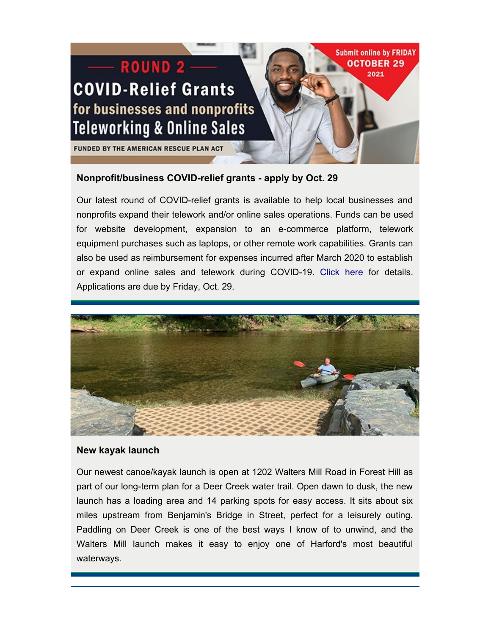

## <span id="page-2-0"></span>**Nonprofit/business COVID-relief grants - apply by Oct. 29**

Our latest round of COVID-relief grants is available to help local businesses and nonprofits expand their telework and/or online sales operations. Funds can be used for website development, expansion to an e-commerce platform, telework equipment purchases such as laptops, or other remote work capabilities. Grants can also be used as reimbursement for expenses incurred after March 2020 to establish or expand online sales and telework during COVID-19. [Click here](https://www.harfordcountymd.gov/3316/Telework-Online-Sales-Relief-Grant-Round) for details. Applications are due by Friday, Oct. 29.



## <span id="page-2-1"></span>**New kayak launch**

Our newest canoe/kayak launch is open at 1202 Walters Mill Road in Forest Hill as part of our long-term plan for a Deer Creek water trail. Open dawn to dusk, the new launch has a loading area and 14 parking spots for easy access. It sits about six miles upstream from Benjamin's Bridge in Street, perfect for a leisurely outing. Paddling on Deer Creek is one of the best ways I know of to unwind, and the Walters Mill launch makes it easy to enjoy one of Harford's most beautiful waterways.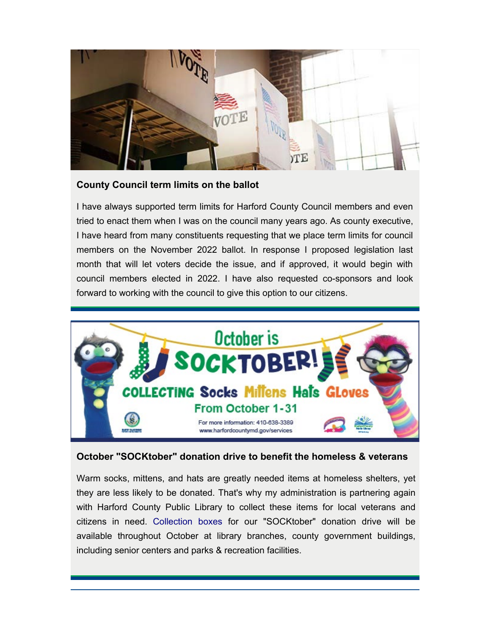

## <span id="page-3-0"></span>**County Council term limits on the ballot**

I have always supported term limits for Harford County Council members and even tried to enact them when I was on the council many years ago. As county executive, I have heard from many constituents requesting that we place term limits for council members on the November 2022 ballot. In response I proposed legislation last month that will let voters decide the issue, and if approved, it would begin with council members elected in 2022. I have also requested co-sponsors and look [forward to working with the council to give this option to our citizens.](https://www.harfordcountymd.gov/2094/SOCKTOBER)



# <span id="page-3-1"></span>**October "SOCKtober" donation drive to benefit the homeless & veterans**

Warm socks, mittens, and hats are greatly needed items at homeless shelters, yet they are less likely to be donated. That's why my administration is partnering again with Harford County Public Library to collect these items for local veterans and citizens in need. [Collection boxes](https://www.harfordcountymd.gov/2094/SOCKTOBER) for our "SOCKtober" donation drive will be available throughout October at library branches, county government buildings, including senior centers and parks & recreation facilities.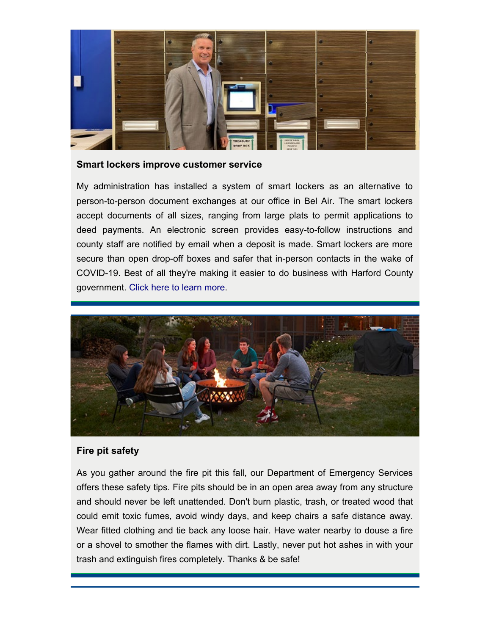

#### <span id="page-4-0"></span>**Smart lockers improve customer service**

My administration has installed a system of smart lockers as an alternative to person-to-person document exchanges at our office in Bel Air. The smart lockers accept documents of all sizes, ranging from large plats to permit applications to deed payments. An electronic screen provides easy-to-follow instructions and county staff are notified by email when a deposit is made. Smart lockers are more secure than open drop-off boxes and safer that in-person contacts in the wake of COVID-19. Best of all they're making it easier to do business with Harford County government. [Click here to learn more.](https://www.harfordcountymd.gov/ArchiveCenter/ViewFile/Item/1972)



## <span id="page-4-1"></span>**Fire pit safety**

As you gather around the fire pit this fall, our Department of Emergency Services offers these safety tips. Fire pits should be in an open area away from any structure and should never be left unattended. Don't burn plastic, trash, or treated wood that could emit toxic fumes, avoid windy days, and keep chairs a safe distance away. Wear fitted clothing and tie back any loose hair. Have water nearby to douse a fire or a shovel to smother the flames with dirt. Lastly, never put hot ashes in with your trash and extinguish fires completely. Thanks & be safe!